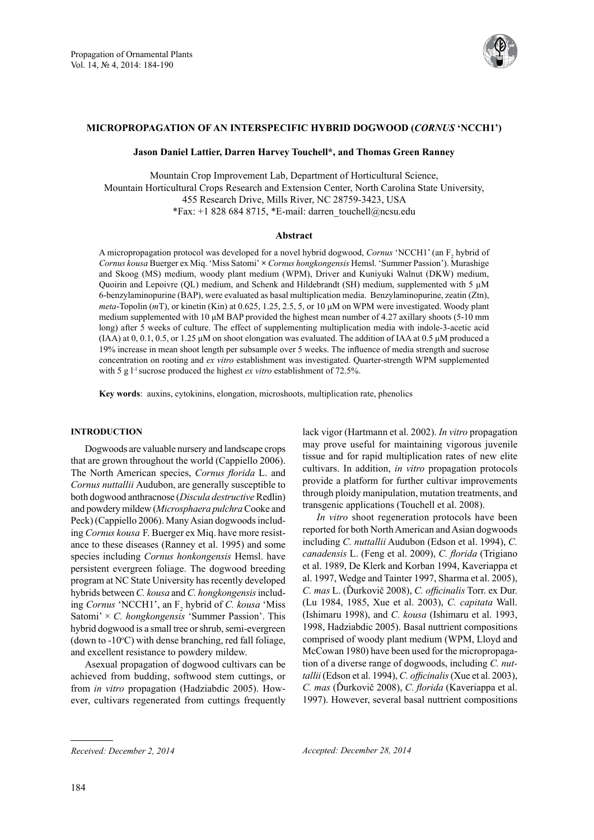

## **Micropropagation of An interspecific Hybrid Dogwood (***Cornus* **'NCCH1')**

**Jason Daniel Lattier, Darren Harvey Touchell\*, and Thomas Green Ranney**

Mountain Crop Improvement Lab, Department of Horticultural Science, Mountain Horticultural Crops Research and Extension Center, North Carolina State University, 455 Research Drive, Mills River, NC 28759-3423, USA \*Fax: +1 828 684 8715, \*E-mail: darren\_touchell@ncsu.edu

### **Abstract**

A micropropagation protocol was developed for a novel hybrid dogwood, *Cornus* 'NCCH1' (an F<sub>2</sub> hybrid of *Cornus kousa* Buerger ex Miq. 'Miss Satomi' **×** *Cornus hongkongensis* Hemsl. 'Summer Passion'). Murashige and Skoog (MS) medium, woody plant medium (WPM), Driver and Kuniyuki Walnut (DKW) medium, Quoirin and Lepoivre (QL) medium, and Schenk and Hildebrandt (SH) medium, supplemented with  $5 \mu M$ 6-benzylaminopurine (BAP), were evaluated as basal multiplication media. Benzylaminopurine, zeatin (Ztn), *meta*-Topolin (*m*T), or kinetin (Kin) at 0.625, 1.25, 2.5, 5, or 10 μM on WPM were investigated. Woody plant medium supplemented with 10 μM BAP provided the highest mean number of 4.27 axillary shoots (5-10 mm long) after 5 weeks of culture. The effect of supplementing multiplication media with indole-3-acetic acid (IAA) at 0, 0.1, 0.5, or 1.25 μM on shoot elongation was evaluated. The addition of IAA at 0.5 μM produced a 19% increase in mean shoot length per subsample over 5 weeks. The influence of media strength and sucrose concentration on rooting and *ex vitro* establishment was investigated. Quarter-strength WPM supplemented with 5 g l<sup>-1</sup> sucrose produced the highest *ex vitro* establishment of 72.5%.

**Key words**: auxins, cytokinins, elongation, microshoots, multiplication rate, phenolics

## **INTRODUCTION**

Dogwoods are valuable nursery and landscape crops that are grown throughout the world (Cappiello 2006). The North American species, *Cornus florida* L. and *Cornus nuttallii* Audubon, are generally susceptible to both dogwood anthracnose (*Discula destructive* Redlin) and powdery mildew (*Microsphaera pulchra* Cooke and Peck) (Cappiello 2006). Many Asian dogwoods including *Cornus kousa* F. Buerger ex Miq. have more resistance to these diseases (Ranney et al. 1995) and some species including *Cornus honkongensis* Hemsl. have persistent evergreen foliage. The dogwood breeding program at NC State University has recently developed hybrids between *C. kousa* and *C. hongkongensis* including *Cornus* 'NCCH1', an F<sub>2</sub> hybrid of *C. kousa* 'Miss Satomi' × *C. hongkongensis* 'Summer Passion'. This hybrid dogwood is a small tree or shrub, semi-evergreen (down to  $-10$ °C) with dense branching, red fall foliage, and excellent resistance to powdery mildew.

Asexual propagation of dogwood cultivars can be achieved from budding, softwood stem cuttings, or from *in vitro* propagation (Hadziabdic 2005). However, cultivars regenerated from cuttings frequently lack vigor (Hartmann et al. 2002). *In vitro* propagation may prove useful for maintaining vigorous juvenile tissue and for rapid multiplication rates of new elite cultivars. In addition, *in vitro* propagation protocols provide a platform for further cultivar improvements through ploidy manipulation, mutation treatments, and transgenic applications (Touchell et al. 2008).

*In vitro* shoot regeneration protocols have been reported for both North American and Asian dogwoods including *C. nuttallii* Audubon (Edson et al. 1994), *C. canadensis* L. (Feng et al. 2009), *C. florida* (Trigiano et al. 1989, De Klerk and Korban 1994, Kaveriappa et al. 1997, Wedge and Tainter 1997, Sharma et al. 2005), *C. mas* L. (Ďurkovič 2008), *C. officinalis* Torr. ex Dur. (Lu 1984, 1985, Xue et al. 2003), *C. capitata* Wall. (Ishimaru 1998), and *C. kousa* (Ishimaru et al. 1993, 1998, Hadziabdic 2005). Basal nuttrient compositions comprised of woody plant medium (WPM, Lloyd and McCowan 1980) have been used for the micropropagation of a diverse range of dogwoods, including *C. nuttallii* (Edson et al. 1994), *C. officinalis* (Xue et al. 2003), *C. mas* (Ďurkovič 2008), *C. florida* (Kaveriappa et al. 1997). However, several basal nuttrient compositions

*Received: December 2, 2014 Accepted: December 28, 2014*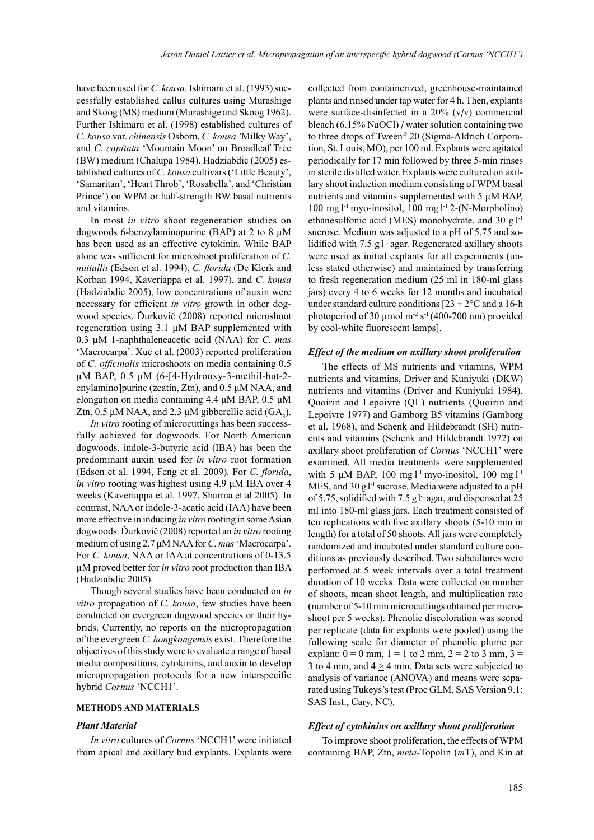have been used for *C. kousa*. Ishimaru et al. (1993) successfully established callus cultures using Murashige and Skoog (MS) medium (Murashige and Skoog 1962). Further Ishimaru et al. (1998) established cultures of *C. kousa* var. *chinensis* Osborn, *C. kousa '*Milky Way', and *C. capitata* 'Mountain Moon' on Broadleaf Tree (BW) medium (Chalupa 1984). Hadziabdic (2005) established cultures of *C. kousa* cultivars ('Little Beauty', 'Samaritan', 'Heart Throb', 'Rosabella', and 'Christian Prince') on WPM or half-strength BW basal nutrients and vitamins.

In most *in vitro* shoot regeneration studies on dogwoods 6-benzylaminopurine (BAP) at 2 to 8  $\mu$ M has been used as an effective cytokinin. While BAP alone was sufficient for microshoot proliferation of *C. nuttallii* (Edson et al. 1994), *C. florida* (De Klerk and Korban 1994, Kaveriappa et al. 1997), and *C. kousa* (Hadziabdic 2005), low concentrations of auxin were necessary for efficient *in vitro* growth in other dogwood species. Ďurkovič (2008) reported microshoot regeneration using 3.1 µM BAP supplemented with 0.3 µM 1-naphthaleneacetic acid (NAA) for *C. mas* 'Macrocarpa'. Xue et al. (2003) reported proliferation of *C. officinalis* microshoots on media containing 0.5 μM BAP, 0.5 μM (6-[4-Hydrooxy-3-methil-but-2 enylamino]purine (zeatin, Ztn), and 0.5 μM NAA, and elongation on media containing 4.4 μM BAP, 0.5 μM Ztn, 0.5  $\mu$ M NAA, and 2.3  $\mu$ M gibberellic acid (GA<sub>3</sub>).

*In vitro* rooting of microcuttings has been successfully achieved for dogwoods. For North American dogwoods, indole-3-butyric acid (IBA) has been the predominant auxin used for *in vitro* root formation (Edson et al. 1994, Feng et al. 2009). For *C. florida*, *in vitro* rooting was highest using 4.9 μM IBA over 4 weeks (Kaveriappa et al. 1997, Sharma et al 2005). In contrast, NAA or indole-3-acatic acid (IAA) have been more effective in inducing *in vitro* rooting in some Asian dogwoods. Ďurkovič (2008) reported an *in vitro* rooting medium of using 2.7 μM NAA for *C. mas* 'Macrocarpa'. For *C. kousa*, NAA or IAA at concentrations of 0-13.5 µM proved better for *in vitro* root production than IBA (Hadziabdic 2005).

Though several studies have been conducted on *in vitro* propagation of *C. kousa*, few studies have been conducted on evergreen dogwood species or their hybrids. Currently, no reports on the micropropagation of the evergreen *C. hongkongensis* exist. Therefore the objectives of this study were to evaluate a range of basal media compositions, cytokinins, and auxin to develop micropropagation protocols for a new interspecific hybrid *Cornus* 'NCCH1'.

#### **Methods and Materials**

#### *Plant Material*

*In vitro* cultures of *Cornus* 'NCCH1' were initiated from apical and axillary bud explants. Explants were collected from containerized, greenhouse-maintained plants and rinsed under tap water for 4 h. Then, explants were surface-disinfected in a 20% (v/v) commercial bleach (6.15% NaOCl) / water solution containing two to three drops of Tween® 20 (Sigma-Aldrich Corporation, St. Louis, MO), per 100 ml. Explants were agitated periodically for 17 min followed by three 5-min rinses in sterile distilled water. Explants were cultured on axillary shoot induction medium consisting of WPM basal nutrients and vitamins supplemented with 5 µM BAP, 100 mg l -1 myo-inositol, 100 mg l -1 2-(N-Morpholino) ethanesulfonic acid (MES) monohydrate, and 30  $g1^{-1}$ sucrose. Medium was adjusted to a pH of 5.75 and solidified with 7.5 g<sub>1</sub><sup>-1</sup> agar. Regenerated axillary shoots were used as initial explants for all experiments (unless stated otherwise) and maintained by transferring to fresh regeneration medium (25 ml in 180-ml glass jars) every 4 to 6 weeks for 12 months and incubated under standard culture conditions  $[23 \pm 2^{\circ}$ C and a 16-h photoperiod of 30  $\mu$ mol m<sup>-2</sup> s<sup>-1</sup> (400-700 nm) provided by cool-white fluorescent lamps].

### *Effect of the medium on axillary shoot proliferation*

The effects of MS nutrients and vitamins, WPM nutrients and vitamins, Driver and Kuniyuki (DKW) nutrients and vitamins (Driver and Kuniyuki 1984), Quoirin and Lepoivre (QL) nutrients (Quoirin and Lepoivre 1977) and Gamborg B5 vitamins (Gamborg et al. 1968), and Schenk and Hildebrandt (SH) nutrients and vitamins (Schenk and Hildebrandt 1972) on axillary shoot proliferation of *Cornus* 'NCCH1' were examined. All media treatments were supplemented with 5  $\mu$ M BAP, 100 mg l<sup>-1</sup> myo-inositol, 100 mg l<sup>-1</sup> MES, and 30 gl<sup>-1</sup> sucrose. Media were adjusted to a pH of 5.75, solidified with 7.5  $g1$ <sup>-1</sup> agar, and dispensed at 25 ml into 180-ml glass jars. Each treatment consisted of ten replications with five axillary shoots (5-10 mm in length) for a total of 50 shoots. All jars were completely randomized and incubated under standard culture conditions as previously described. Two subcultures were performed at 5 week intervals over a total treatment duration of 10 weeks. Data were collected on number of shoots, mean shoot length, and multiplication rate (number of 5-10 mm microcuttings obtained per microshoot per 5 weeks). Phenolic discoloration was scored per replicate (data for explants were pooled) using the following scale for diameter of phenolic plume per explant:  $0 = 0$  mm,  $1 = 1$  to 2 mm,  $2 = 2$  to 3 mm,  $3 = 1$ 3 to 4 mm, and  $4 \geq 4$  mm. Data sets were subjected to analysis of variance (ANOVA) and means were separated using Tukeys's test (Proc GLM, SAS Version 9.1; SAS Inst., Cary, NC).

## *Effect of cytokinins on axillary shoot proliferation*

To improve shoot proliferation, the effects of WPM containing BAP, Ztn, *meta*-Topolin (*m*T), and Kin at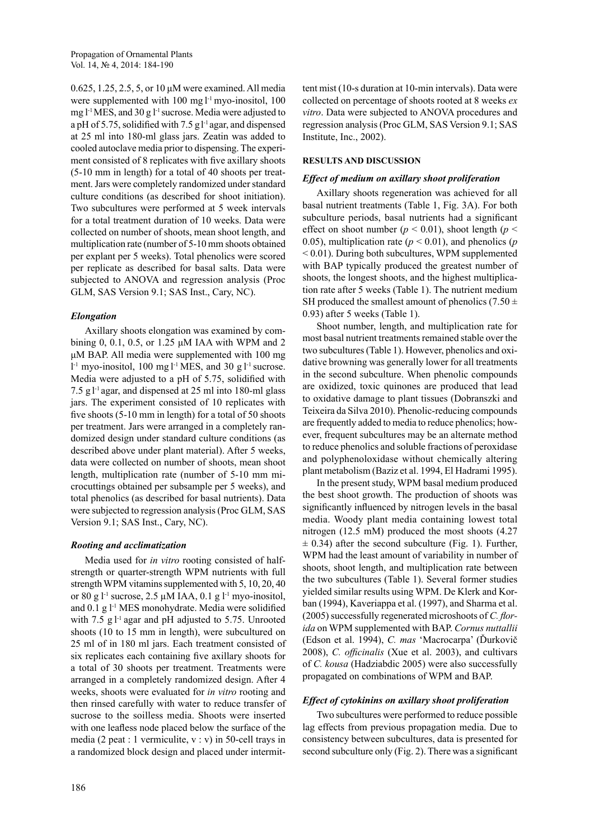0.625, 1.25, 2.5, 5, or 10 μM were examined. All media were supplemented with 100 mg l<sup>-1</sup> myo-inositol, 100 mg l-1 MES, and 30 g l-1 sucrose. Media were adjusted to a pH of 5.75, solidified with  $7.5$  gl<sup>-1</sup> agar, and dispensed at 25 ml into 180-ml glass jars. Zeatin was added to cooled autoclave media prior to dispensing. The experiment consisted of 8 replicates with five axillary shoots (5-10 mm in length) for a total of 40 shoots per treatment. Jars were completely randomized under standard culture conditions (as described for shoot initiation). Two subcultures were performed at 5 week intervals for a total treatment duration of 10 weeks. Data were collected on number of shoots, mean shoot length, and multiplication rate (number of 5-10 mm shoots obtained per explant per 5 weeks). Total phenolics were scored per replicate as described for basal salts. Data were subjected to ANOVA and regression analysis (Proc GLM, SAS Version 9.1; SAS Inst., Cary, NC).

# *Elongation*

Axillary shoots elongation was examined by combining 0, 0.1, 0.5, or 1.25 μM IAA with WPM and 2 μM BAP. All media were supplemented with 100 mg  $l<sup>-1</sup>$  myo-inositol, 100 mg  $l<sup>-1</sup>$  MES, and 30 g  $l<sup>-1</sup>$  sucrose. Media were adjusted to a pH of 5.75, solidified with 7.5  $g1$ <sup>-1</sup> agar, and dispensed at 25 ml into 180-ml glass jars. The experiment consisted of 10 replicates with five shoots (5-10 mm in length) for a total of 50 shoots per treatment. Jars were arranged in a completely randomized design under standard culture conditions (as described above under plant material). After 5 weeks, data were collected on number of shoots, mean shoot length, multiplication rate (number of 5-10 mm microcuttings obtained per subsample per 5 weeks), and total phenolics (as described for basal nutrients). Data were subjected to regression analysis (Proc GLM, SAS Version 9.1; SAS Inst., Cary, NC).

# *Rooting and acclimatization*

Media used for *in vitro* rooting consisted of halfstrength or quarter-strength WPM nutrients with full strength WPM vitamins supplemented with 5, 10, 20, 40 or 80 g l<sup>-1</sup> sucrose, 2.5  $\mu$ M IAA, 0.1 g l<sup>-1</sup> myo-inositol, and  $0.1$  g  $1<sup>-1</sup>$  MES monohydrate. Media were solidified with 7.5 g l<sup>-1</sup> agar and pH adjusted to 5.75. Unrooted shoots (10 to 15 mm in length), were subcultured on 25 ml of in 180 ml jars. Each treatment consisted of six replicates each containing five axillary shoots for a total of 30 shoots per treatment. Treatments were arranged in a completely randomized design. After 4 weeks, shoots were evaluated for *in vitro* rooting and then rinsed carefully with water to reduce transfer of sucrose to the soilless media. Shoots were inserted with one leafless node placed below the surface of the media (2 peat : 1 vermiculite,  $v : v$ ) in 50-cell trays in a randomized block design and placed under intermittent mist (10-s duration at 10-min intervals). Data were collected on percentage of shoots rooted at 8 weeks *ex vitro*. Data were subjected to ANOVA procedures and regression analysis (Proc GLM, SAS Version 9.1; SAS Institute, Inc., 2002).

# **Results and Discussion**

# *Effect of medium on axillary shoot proliferation*

Axillary shoots regeneration was achieved for all basal nutrient treatments (Table 1, Fig. 3A). For both subculture periods, basal nutrients had a significant effect on shoot number ( $p < 0.01$ ), shoot length ( $p <$ 0.05), multiplication rate ( $p < 0.01$ ), and phenolics ( $p$ < 0.01). During both subcultures, WPM supplemented with BAP typically produced the greatest number of shoots, the longest shoots, and the highest multiplication rate after 5 weeks (Table 1). The nutrient medium SH produced the smallest amount of phenolics (7.50  $\pm$ 0.93) after 5 weeks (Table 1).

Shoot number, length, and multiplication rate for most basal nutrient treatments remained stable over the two subcultures (Table 1). However, phenolics and oxidative browning was generally lower for all treatments in the second subculture. When phenolic compounds are oxidized, toxic quinones are produced that lead to oxidative damage to plant tissues (Dobranszki and Teixeira da Silva 2010). Phenolic-reducing compounds are frequently added to media to reduce phenolics; however, frequent subcultures may be an alternate method to reduce phenolics and soluble fractions of peroxidase and polyphenoloxidase without chemically altering plant metabolism (Baziz et al. 1994, El Hadrami 1995).

In the present study, WPM basal medium produced the best shoot growth. The production of shoots was significantly influenced by nitrogen levels in the basal media. Woody plant media containing lowest total nitrogen (12.5 mM) produced the most shoots (4.27  $\pm$  0.34) after the second subculture (Fig. 1). Further, WPM had the least amount of variability in number of shoots, shoot length, and multiplication rate between the two subcultures (Table 1). Several former studies yielded similar results using WPM. De Klerk and Korban (1994), Kaveriappa et al. (1997), and Sharma et al. (2005) successfully regenerated microshoots of *C. florida* on WPM supplemented with BAP. *Cornus nuttallii* (Edson et al. 1994), *C. mas* 'Macrocarpa' (Ďurkovič 2008), *C. officinalis* (Xue et al. 2003), and cultivars of *C. kousa* (Hadziabdic 2005) were also successfully propagated on combinations of WPM and BAP.

# *Effect of cytokinins on axillary shoot proliferation*

Two subcultures were performed to reduce possible lag effects from previous propagation media. Due to consistency between subcultures, data is presented for second subculture only (Fig. 2). There was a significant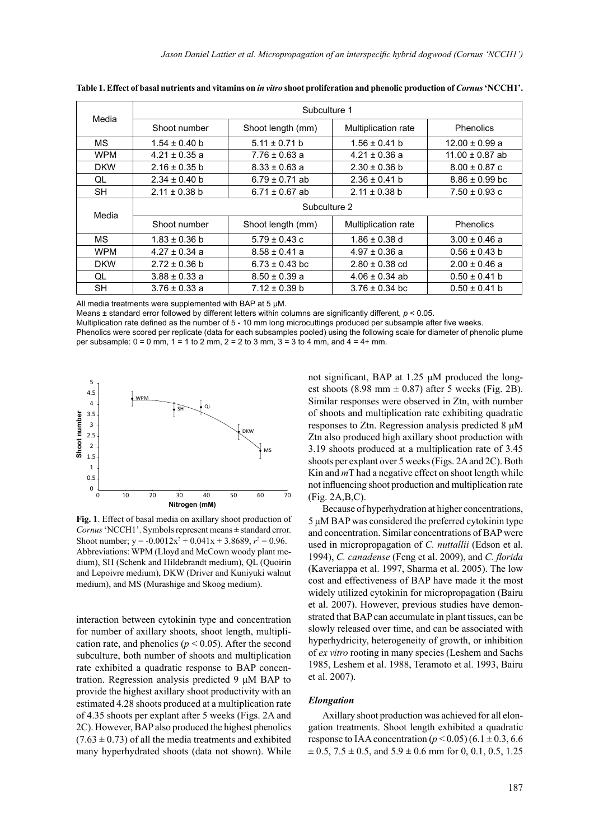| Media      | Subculture 1      |                    |                            |                     |
|------------|-------------------|--------------------|----------------------------|---------------------|
|            | Shoot number      | Shoot length (mm)  | <b>Multiplication rate</b> | <b>Phenolics</b>    |
| <b>MS</b>  | $1.54 \pm 0.40$ b | $5.11 \pm 0.71$ b  | $1.56 \pm 0.41$ b          | $12.00 \pm 0.99$ a  |
| <b>WPM</b> | $4.21 \pm 0.35$ a | $7.76 \pm 0.63$ a  | $4.21 \pm 0.36$ a          | $11.00 \pm 0.87$ ab |
| <b>DKW</b> | $2.16 \pm 0.35$ b | $8.33 \pm 0.63$ a  | $2.30 \pm 0.36$ b          | $8.00 \pm 0.87$ c   |
| QL         | $2.34 \pm 0.40$ b | $6.79 \pm 0.71$ ab | $2.36 \pm 0.41$ b          | $8.86 \pm 0.99$ bc  |
| <b>SH</b>  | $2.11 \pm 0.38$ b | $6.71 \pm 0.67$ ab | $2.11 \pm 0.38$ b          | $7.50 \pm 0.93$ c   |
| Media      | Subculture 2      |                    |                            |                     |
|            | Shoot number      | Shoot length (mm)  | Multiplication rate        | <b>Phenolics</b>    |
| <b>MS</b>  | $1.83 \pm 0.36$ b | $5.79 \pm 0.43$ c  | $1.86 \pm 0.38$ d          | $3.00 \pm 0.46$ a   |
| <b>WPM</b> | $4.27 \pm 0.34$ a | $8.58 \pm 0.41$ a  | $4.97 \pm 0.36$ a          | $0.56 \pm 0.43$ b   |
| <b>DKW</b> | $2.72 \pm 0.36$ b | $6.73 \pm 0.43$ bc | $2.80 \pm 0.38$ cd         | $2.00 \pm 0.46$ a   |
| QL         | $3.88 \pm 0.33$ a | $8.50 \pm 0.39$ a  | $4.06 \pm 0.34$ ab         | $0.50 \pm 0.41$ b   |
| SH         | $3.76 \pm 0.33$ a | $7.12 \pm 0.39$ b  | $3.76 \pm 0.34$ bc         | $0.50 \pm 0.41$ b   |

**Table 1. Effect of basal nutrients and vitamins on** *in vitro* **shoot proliferation and phenolic production of** *Cornus* **'NCCH1'.**

All media treatments were supplemented with BAP at 5 μM.

Means ± standard error followed by different letters within columns are significantly different, *p* < 0.05.

Multiplication rate defined as the number of 5 - 10 mm long microcuttings produced per subsample after five weeks.

Phenolics were scored per replicate (data for each subsamples pooled) using the following scale for diameter of phenolic plume per subsample: 0 = 0 mm, 1 = 1 to 2 mm, 2 = 2 to 3 mm, 3 = 3 to 4 mm, and 4 = 4+ mm.



**Fig. 1**. Effect of basal media on axillary shoot production of *Cornus* 'NCCH1'. Symbols represent means ± standard error. Shoot number;  $y = -0.0012x^2 + 0.041x + 3.8689$ ,  $r^2 = 0.96$ . Abbreviations: WPM (Lloyd and McCown woody plant medium), SH (Schenk and Hildebrandt medium), QL (Quoirin and Lepoivre medium), DKW (Driver and Kuniyuki walnut

interaction between cytokinin type and concentration for number of axillary shoots, shoot length, multiplication rate, and phenolics ( $p < 0.05$ ). After the second subculture, both number of shoots and multiplication rate exhibited a quadratic response to BAP concentration. Regression analysis predicted 9 μM BAP to provide the highest axillary shoot productivity with an estimated 4.28 shoots produced at a multiplication rate of 4.35 shoots per explant after 5 weeks (Figs. 2A and 2C). However, BAP also produced the highest phenolics  $(7.63 \pm 0.73)$  of all the media treatments and exhibited many hyperhydrated shoots (data not shown). While not significant, BAP at 1.25 μM produced the longest shoots (8.98 mm  $\pm$  0.87) after 5 weeks (Fig. 2B). Similar responses were observed in Ztn, with number of shoots and multiplication rate exhibiting quadratic responses to Ztn. Regression analysis predicted 8 μM Ztn also produced high axillary shoot production with 3.19 shoots produced at a multiplication rate of 3.45 shoots per explant over 5 weeks (Figs. 2A and 2C). Both Kin and *m*T had a negative effect on shoot length while not influencing shoot production and multiplication rate (Fig. 2A,B,C).

Because of hyperhydration at higher concentrations, 5 μM BAP was considered the preferred cytokinin type and concentration. Similar concentrations of BAP were used in micropropagation of *C. nuttallii* (Edson et al. 1994), *C. canadense* (Feng et al. 2009), and *C. florida* (Kaveriappa et al. 1997, Sharma et al. 2005). The low cost and effectiveness of BAP have made it the most widely utilized cytokinin for micropropagation (Bairu et al. 2007). However, previous studies have demonstrated that BAP can accumulate in plant tissues, can be slowly released over time, and can be associated with hyperhydricity, heterogeneity of growth, or inhibition of *ex vitro* rooting in many species (Leshem and Sachs 1985, Leshem et al. 1988, Teramoto et al. 1993, Bairu et al. 2007).

### *Elongation*

Axillary shoot production was achieved for all elongation treatments. Shoot length exhibited a quadratic response to IAA concentration ( $p < 0.05$ ) (6.1  $\pm$  0.3, 6.6  $\pm$  0.5, 7.5  $\pm$  0.5, and 5.9  $\pm$  0.6 mm for 0, 0.1, 0.5, 1.25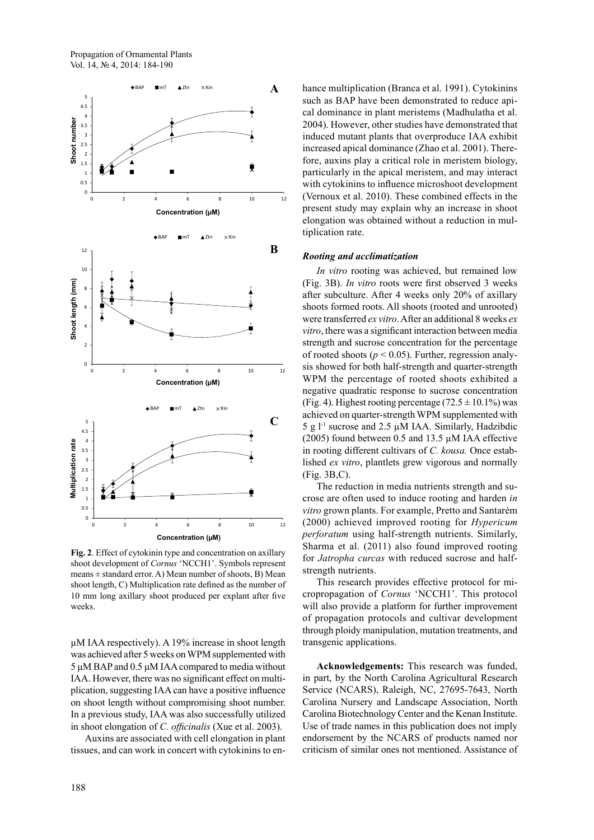

Fig. 2. Effect of cytokinin type and concentration on axillary shoot development of *Cornus* 'NCCH1'. Symbols represent means  $\pm$  standard error. A) Mean number of shoots, B) Mean shoot length, C) Multiplication rate defined as the number of 10 mm long axillary shoot produced per explant after five weeks. 2.5

µM IAA respectively). A 19% increase in shoot length 2 was achieved after 5 weeks on WPM supplemented with 5 μM BAP and 0.5 μM IAA compared to media without IAA. However, there was no significant effect on multiplication, suggesting IAA can have a positive influence on shoot length without compromising shoot number. 5 In a previous study, IAA was also successfully utilized in shoot elongation of *C. officinalis* (Xue et al. 2003). 4

Auxins are associated with cell elongation in plant 3 tissues, and can work in concert with cytokinins to enhance multiplication (Branca et al. 1991). Cytokinins such as BAP have been demonstrated to reduce apical dominance in plant meristems (Madhulatha et al. 2004). However, other studies have demonstrated that induced mutant plants that overproduce IAA exhibit increased apical dominance (Zhao et al. 2001). Therefore, auxins play a critical role in meristem biology, particularly in the apical meristem, and may interact with cytokinins to influence microshoot development (Vernoux et al. 2010). These combined effects in the present study may explain why an increase in shoot elongation was obtained without a reduction in multiplication rate.

#### **Rooting and acclimatization** un

In vitro rooting was achieved, but remained low (Fig. 3B). *In vitro* roots were first observed 3 weeks after subculture. After 4 weeks only 20% of axillary shoots formed roots. All shoots (rooted and unrooted) were transferred *ex vitro*. After an additional 8 weeks *ex vitro*, there was a significant interaction between media strength and sucrose concentration for the percentage of rooted shoots ( $p < 0.05$ ). Further, regression analysis showed for both half-strength and quarter-strength WPM the percentage of rooted shoots exhibited a negative quadratic response to sucrose concentration (Fig. 4). Highest rooting percentage  $(72.5 \pm 10.1\%)$  was achieved on quarter-strength WPM supplemented with 5 g  $l<sup>-1</sup>$  sucrose and 2.5  $\mu$ M IAA. Similarly, Hadzibdic (2005) found between 0.5 and 13.5  $\mu$ M IAA effective in rooting different cultivars of *C. kousa*. Once established ex vitro, plantlets grew vigorous and normally (Fig. 3B,C). Kin su J.

The reduction in media nutrients strength and sucrose are often used to induce rooting and harden *in vitro* grown plants. For example, Pretto and Santarém (2000) achieved improved rooting for *Hypericum*  perforatum using half-strength nutrients. Similarly, Sharma et al.  $(2011)$  also found improved rooting for Jatropha curcas with reduced sucrose and halfstrength nutrients. <sup>i</sup>

This research provides effective protocol for micropropagation of *Cornus* 'NCCH1'. This protocol will also provide a platform for further improvement of propagation protocols and cultivar development through ploidy manipulation, mutation treatments, and transgenic applications.  $\mathbf{0}$ 

> **Acknowledgements:** This research was funded, in part, by the North Carolina Agricultural Research Service (NCARS), Raleigh, NC, 27695-7643, North Carolina Nursery and Landscape Association, North Carolina Biotechnology Center and the Kenan Institute. Use of trade names in this publication does not imply endorsement by the NCARS of products named nor criticism of similar ones not mentioned. Assistance of m.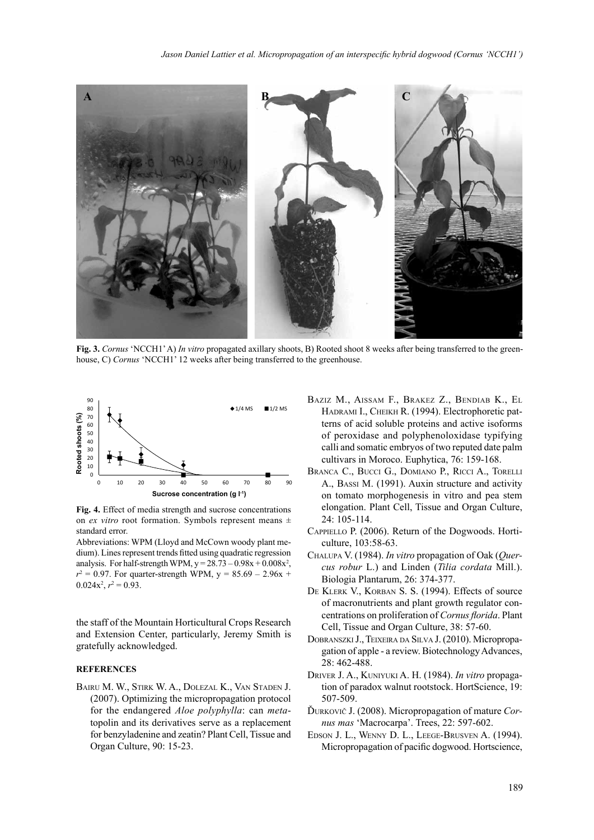

**Fig. 3.** *Cornus* 'NCCH1' A) *In vitro* propagated axillary shoots, B) Rooted shoot 8 weeks after being transferred to the greenhouse, C) *Cornus* 'NCCH1' 12 weeks after being transferred to the greenhouse.



**Fig. 4.** Effect of media strength and sucrose concentrations on *ex vitro* root formation. Symbols represent means  $\pm$ standard error.

Abbreviations: WPM (Lloyd and McCown woody plant medium). Lines represent trends fitted using quadratic regression analysis. For half-strength WPM,  $y = 28.73 - 0.98x + 0.008x^2$ ,  $r^2 = 0.97$ . For quarter-strength WPM,  $y = 85.69 - 2.96x +$  $0.024x^2$ ,  $r^2 = 0.93$ .

the staff of the Mountain Horticultural Crops Research and Extension Center, particularly, Jeremy Smith is gratefully acknowledged.

## **REFERENCES**

Bairu M. W., Stirk W. A., Dolezal K., Van Staden J. (2007). Optimizing the micropropagation protocol for the endangered *Aloe polyphylla*: can *meta*topolin and its derivatives serve as a replacement for benzyladenine and zeatin? Plant Cell, Tissue and Organ Culture, 90: 15-23.

- Baziz M., Aissam F., Brakez Z., Bendiab K., El Hadrami I., Cheikh R. (1994). Electrophoretic patterns of acid soluble proteins and active isoforms of peroxidase and polyphenoloxidase typifying calli and somatic embryos of two reputed date palm cultivars in Moroco. Euphytica, 76: 159-168.
- Branca C., Bucci G., Domiano P., Ricci A., Torelli A., Bassi M. (1991). Auxin structure and activity on tomato morphogenesis in vitro and pea stem elongation. Plant Cell, Tissue and Organ Culture, 24: 105-114.
- Cappiello P. (2006). Return of the Dogwoods. Horticulture, 103:58-63.
- Chalupa V. (1984). *In vitro* propagation of Oak (*Quercus robur* L.) and Linden (*Tilia cordata* Mill.). Biologia Plantarum, 26: 374-377.
- De Klerk V., Korban S. S. (1994). Effects of source of macronutrients and plant growth regulator concentrations on proliferation of *Cornus florida*. Plant Cell, Tissue and Organ Culture, 38: 57-60.
- Dobranszki J., Teixeira da Silva J. (2010). Micropropagation of apple - a review. Biotechnology Advances, 28: 462-488.
- Driver J. A., Kuniyuki A. H. (1984). *In vitro* propagation of paradox walnut rootstock. HortScience, 19: 507-509.
- Ďurkovič J. (2008). Micropropagation of mature *Cornus mas* 'Macrocarpa'. Trees, 22: 597-602.
- Edson J. L., Wenny D. L., Leege-Brusven A. (1994). Micropropagation of pacific dogwood. Hortscience,